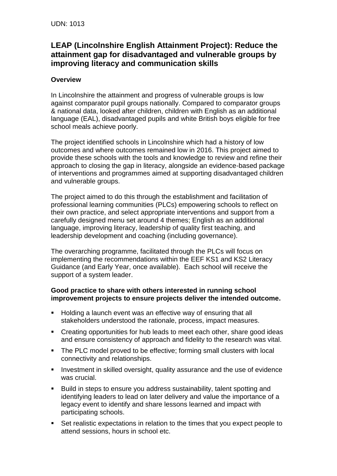# **LEAP (Lincolnshire English Attainment Project): Reduce the attainment gap for disadvantaged and vulnerable groups by improving literacy and communication skills**

# **Overview**

In Lincolnshire the attainment and progress of vulnerable groups is low against comparator pupil groups nationally. Compared to comparator groups & national data, looked after children, children with English as an additional language (EAL), disadvantaged pupils and white British boys eligible for free school meals achieve poorly.

The project identified schools in Lincolnshire which had a history of low outcomes and where outcomes remained low in 2016. This project aimed to provide these schools with the tools and knowledge to review and refine their approach to closing the gap in literacy, alongside an evidence-based package of interventions and programmes aimed at supporting disadvantaged children and vulnerable groups.

The project aimed to do this through the establishment and facilitation of professional learning communities (PLCs) empowering schools to reflect on their own practice, and select appropriate interventions and support from a carefully designed menu set around 4 themes; English as an additional language, improving literacy, leadership of quality first teaching, and leadership development and coaching (including governance).

The overarching programme, facilitated through the PLCs will focus on implementing the recommendations within the EEF KS1 and KS2 Literacy Guidance (and Early Year, once available). Each school will receive the support of a system leader.

### **Good practice to share with others interested in running school improvement projects to ensure projects deliver the intended outcome.**

- Holding a launch event was an effective way of ensuring that all stakeholders understood the rationale, process, impact measures.
- Creating opportunities for hub leads to meet each other, share good ideas and ensure consistency of approach and fidelity to the research was vital.
- The PLC model proved to be effective; forming small clusters with local connectivity and relationships.
- **Investment in skilled oversight, quality assurance and the use of evidence** was crucial.
- Build in steps to ensure you address sustainability, talent spotting and identifying leaders to lead on later delivery and value the importance of a legacy event to identify and share lessons learned and impact with participating schools.
- Set realistic expectations in relation to the times that you expect people to attend sessions, hours in school etc.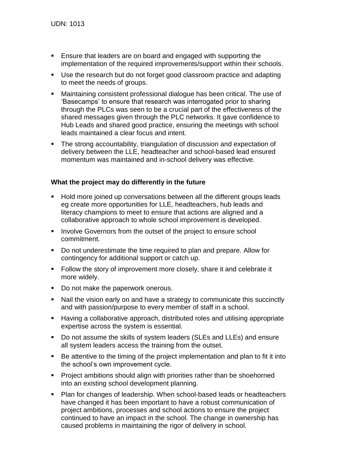- Ensure that leaders are on board and engaged with supporting the implementation of the required improvements/support within their schools.
- Use the research but do not forget good classroom practice and adapting to meet the needs of groups.
- Maintaining consistent professional dialogue has been critical. The use of 'Basecamps' to ensure that research was interrogated prior to sharing through the PLCs was seen to be a crucial part of the effectiveness of the shared messages given through the PLC networks. It gave confidence to Hub Leads and shared good practice, ensuring the meetings with school leads maintained a clear focus and intent.
- The strong accountability, triangulation of discussion and expectation of delivery between the LLE, headteacher and school-based lead ensured momentum was maintained and in-school delivery was effective.

# **What the project may do differently in the future**

- Hold more joined up conversations between all the different groups leads eg create more opportunities for LLE, headteachers, hub leads and literacy champions to meet to ensure that actions are aligned and a collaborative approach to whole school improvement is developed.
- **IDED THE INVOLVE GOVERTORS** from the outset of the project to ensure school commitment.
- Do not underestimate the time required to plan and prepare. Allow for contingency for additional support or catch up.
- **Follow the story of improvement more closely, share it and celebrate it** more widely.
- Do not make the paperwork onerous.
- Nail the vision early on and have a strategy to communicate this succinctly and with passion/purpose to every member of staff in a school.
- Having a collaborative approach, distributed roles and utilising appropriate expertise across the system is essential.
- Do not assume the skills of system leaders (SLEs and LLEs) and ensure all system leaders access the training from the outset.
- Be attentive to the timing of the project implementation and plan to fit it into the school's own improvement cycle.
- **Project ambitions should align with priorities rather than be shoehorned** into an existing school development planning.
- Plan for changes of leadership. When school-based leads or headteachers have changed it has been important to have a robust communication of project ambitions, processes and school actions to ensure the project continued to have an impact in the school. The change in ownership has caused problems in maintaining the rigor of delivery in school.